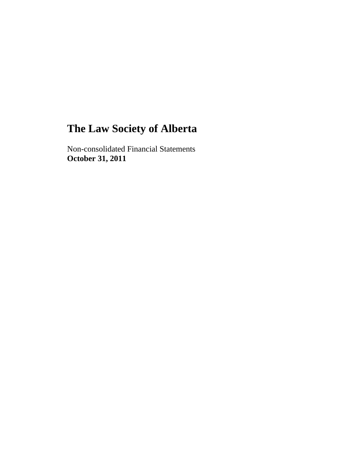Non-consolidated Financial Statements **October 31, 2011**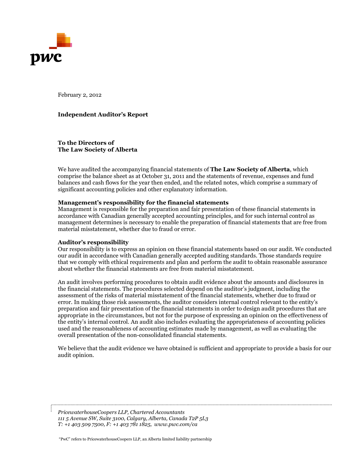

February 2, 2012

#### **Independent Auditor's Report**

**To the Directors of The Law Society of Alberta**

We have audited the accompanying financial statements of **The Law Society of Alberta**, which comprise the balance sheet as at October 31, 2011 and the statements of revenue, expenses and fund balances and cash flows for the year then ended, and the related notes, which comprise a summary of significant accounting policies and other explanatory information.

#### **Management's responsibility for the financial statements**

Management is responsible for the preparation and fair presentation of these financial statements in accordance with Canadian generally accepted accounting principles, and for such internal control as management determines is necessary to enable the preparation of financial statements that are free from material misstatement, whether due to fraud or error.

#### **Auditor's responsibility**

Our responsibility is to express an opinion on these financial statements based on our audit. We conducted our audit in accordance with Canadian generally accepted auditing standards. Those standards require that we comply with ethical requirements and plan and perform the audit to obtain reasonable assurance about whether the financial statements are free from material misstatement.

An audit involves performing procedures to obtain audit evidence about the amounts and disclosures in the financial statements. The procedures selected depend on the auditor's judgment, including the assessment of the risks of material misstatement of the financial statements, whether due to fraud or error. In making those risk assessments, the auditor considers internal control relevant to the entity's preparation and fair presentation of the financial statements in order to design audit procedures that are appropriate in the circumstances, but not for the purpose of expressing an opinion on the effectiveness of the entity's internal control. An audit also includes evaluating the appropriateness of accounting policies used and the reasonableness of accounting estimates made by management, as well as evaluating the overall presentation of the non-consolidated financial statements.

We believe that the audit evidence we have obtained is sufficient and appropriate to provide a basis for our audit opinion.

*PricewaterhouseCoopers LLP, Chartered Accountants 111 5 Avenue SW, Suite 3100, Calgary, Alberta, Canada T2P 5L3 T: +1 403 509 7500, F: +1 403 781 1825, www.pwc.com/ca*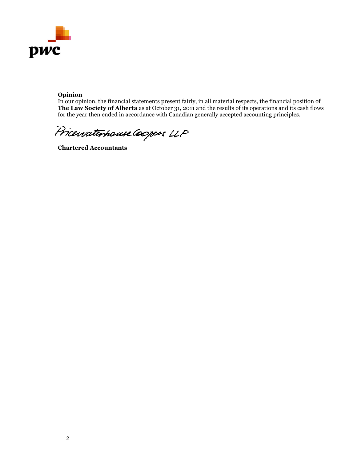

#### **Opinion**

In our opinion, the financial statements present fairly, in all material respects, the financial position of **The Law Society of Alberta** as at October 31, 2011 and the results of its operations and its cash flows for the year then ended in accordance with Canadian generally accepted accounting principles.

Pricewaterhouse Coopers LLP

**Chartered Accountants**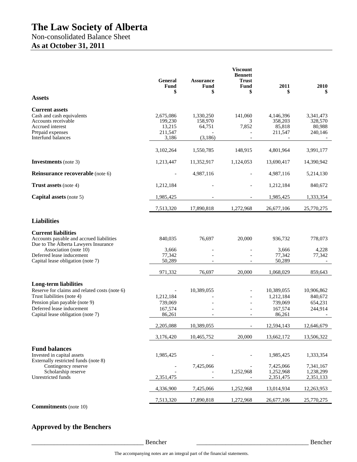## Non-consolidated Balance Sheet **As at October 31, 2011**

#### **General Fund \$ Assurance Fund \$ Viscount Bennett Trust Fund \$ 2011 \$ 2010 \$ Assets Current assets**  Cash and cash equivalents 2,675,086 1,330,250 141,060 4,146,396 3,341,473 Accounts receivable 199,230 158,970 3 358,203 328,570<br>Accrued interest 199,215 64,751 7,852 85,818 80,988 Accrued interest 13,215 64,751 7,852 85,818 80,988 Prepaid expenses 211,547 - 211,547 240,146 Interfund balances  $3,186$   $(3,186)$  3,102,264 1,550,785 148,915 4,801,964 3,991,177 **Investments** (note 3) 1,213,447 11,352,917 1,124,053 13,690,417 14,390,942 **Reinsurance recoverable** (note 6)  $\qquad \qquad -4.987,116$   $\qquad \qquad -4.987,116$   $\qquad \qquad 5,214,130$ **Trust assets** (note 4) 1,212,184 - 1,212,184 840,672 **Capital assets** (note 5) 1,985,425 1,333,354 1,333,354 7,513,320 17,890,818 1,272,968 26,677,106 25,770,275 **Liabilities Current liabilities**  Accounts payable and accrued liabilities 840,035 76,697 20,000 936,732 778,073 Due to The Alberta Lawyers Insurance Association (note 10) 3,666 - 3,666 - 3,666 4,228 Deferred lease inducement 77,342 77,342 77,342 77,342 77,342 77,342 77,342 77,342 Capital lease obligation (note 7) 971,332 76,697 20,000 1,068,029 859,643 **Long-term liabilities**  Reserve for claims and related costs (note 6)  $10,389,055$   $- 10,389,055$   $10,906,862$ Trust liabilities (note 4) 1,212,184 - 1,212,184 840,672 Pension plan payable (note 9) 739,069<br>Deferred lease inducement 167,574 167,574 244.914 Deferred lease inducement 167,574 - 167,574 - 167,574 - 167,574 - 167,574 - 167,574 - 167,574 - 167,574 - 167,574 - 167,574 - 167,574 - 167,574 - 167,574 - 168,261 - 169,261 - 169,261 - 169,261 - 169,261 - 169,261 - 169,26 Capital lease obligation (note 7)  $86,261$  -  $86,261$  2,205,088 10,389,055 - 12,594,143 12,646,679 3,176,420 10,465,752 20,000 13,662,172 13,506,322 **Fund balances**  Invested in capital assets 1,985,425 - 1,985,425 1,333,354 Externally restricted funds (note 8) Contingency reserve  $\begin{array}{ccccccccc}\n & - & 7,425,066 & & - & 7,425,066 & & 7,341,167 \\
\hline\n\text{Scholarship reserve} & & - & & - & 1,252,968 & & 1,252,968 & & 1,238,299\n\end{array}$ Scholarship reserve 1,252,968 1,252,968 1,252,968 1,252,968 1,252,968 1,252,968 1,252,968 1,252,968 1,238,299 Unrestricted funds 4,336,900 7,425,066 1,252,968 13,014,934 12,263,953 7,513,320 17,890,818 1,272,968 26,677,106 25,770,275

**Commitments** (note 10)

## **Approved by the Benchers**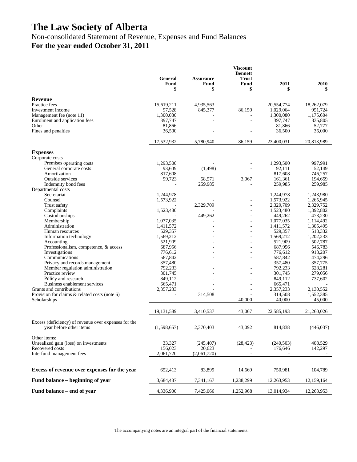Non-consolidated Statement of Revenue, Expenses and Fund Balances

## **For the year ended October 31, 2011**

|                                                      | <b>General</b><br>Fund<br>\$ | <b>Assurance</b><br>Fund<br>\$ | <b>Viscount</b><br><b>Bennett</b><br><b>Trust</b><br>Fund<br>\$ | 2011<br>\$         | 2010<br>\$         |
|------------------------------------------------------|------------------------------|--------------------------------|-----------------------------------------------------------------|--------------------|--------------------|
| Revenue                                              |                              |                                |                                                                 |                    |                    |
| Practice fees                                        | 15,619,211                   | 4,935,563                      |                                                                 | 20,554,774         | 18,262,079         |
| Investment income                                    | 97,528                       | 845,377                        | 86,159                                                          | 1,029,064          | 951,724            |
| Management fee (note 11)                             | 1,300,080                    |                                |                                                                 | 1,300,080          | 1,175,604          |
| Enrolment and application fees                       | 397,747                      |                                |                                                                 | 397,747            | 335,805            |
| Other                                                | 81,866                       |                                |                                                                 | 81,866             | 52,777             |
| Fines and penalties                                  | 36,500                       |                                |                                                                 | 36,500             | 36,000             |
|                                                      | 17,532,932                   | 5,780,940                      | 86,159                                                          | 23,400,031         | 20,813,989         |
| <b>Expenses</b>                                      |                              |                                |                                                                 |                    |                    |
| Corporate costs                                      |                              |                                |                                                                 |                    |                    |
| Premises operating costs                             | 1,293,500                    |                                |                                                                 | 1,293,500          | 997,991            |
| General corporate costs                              | 93,609                       | (1,498)                        |                                                                 | 92,111             | 52,149             |
| Amortization<br>Outside services                     | 817,608<br>99,723            | 58,571                         | 3,067                                                           | 817,608<br>161,361 | 746,257<br>194,659 |
| Indemnity bond fees                                  |                              | 259,985                        |                                                                 | 259,985            | 259,985            |
| Departmental costs                                   |                              |                                |                                                                 |                    |                    |
| Secretariat                                          | 1,244,978                    |                                |                                                                 | 1,244,978          | 1,243,980          |
| Counsel                                              | 1,573,922                    |                                | $\overline{\phantom{a}}$                                        | 1,573,922          | 1,265,945          |
| Trust safety                                         |                              | 2,329,709                      |                                                                 | 2,329,709          | 2,329,752          |
| Complaints                                           | 1,523,480                    |                                |                                                                 | 1,523,480          | 1,392,802          |
| Custodianships                                       |                              | 449,262                        |                                                                 | 449,262            | 473,230            |
| Membership                                           | 1,077,035                    |                                |                                                                 | 1,077,035          | 1,114,492          |
| Administration                                       | 1,411,572                    |                                | $\overline{\phantom{a}}$                                        | 1,411,572          | 1,305,495          |
| Human resources                                      | 529,357                      |                                | ÷.                                                              | 529,357            | 513,332            |
| Information technology                               | 1,569,212                    |                                |                                                                 | 1,569,212          | 1,202,233          |
| Accounting<br>Professionalism, competence, & access  | 521,909<br>687,956           |                                |                                                                 | 521,909<br>687,956 | 502,787<br>546,783 |
| Investigations                                       | 776,612                      |                                |                                                                 | 776,612            | 913,207            |
| Communications                                       | 587,842                      |                                |                                                                 | 587,842            | 474,296            |
| Privacy and records management                       | 357,480                      |                                |                                                                 | 357,480            | 357,775            |
| Member regulation administration                     | 792,233                      |                                |                                                                 | 792,233            | 628,281            |
| Practice review                                      | 301,745                      |                                |                                                                 | 301,745            | 279,056            |
| Policy and research                                  | 849,112                      |                                |                                                                 | 849,112            | 737,602            |
| Business enablement services                         | 665,471                      |                                |                                                                 | 665,471            |                    |
| Grants and contributions                             | 2,357,233                    |                                |                                                                 | 2,357,233          | 2,130,552          |
| Provision for claims & related costs (note 6)        | ÷,                           | 314,508                        |                                                                 | 314,508            | 1,552,385          |
| Scholarships                                         | $\sim$                       |                                | 40,000                                                          | 40,000             | 45,000             |
|                                                      | 19,131,589                   | 3,410,537                      | 43,067                                                          | 22,585,193         | 21,260,026         |
| Excess (deficiency) of revenue over expenses for the |                              |                                |                                                                 |                    |                    |
| year before other items                              | (1,598,657)                  | 2,370,403                      | 43,092                                                          | 814,838            | (446, 037)         |
| Other items:                                         |                              |                                |                                                                 |                    |                    |
| Unrealized gain (loss) on investments                | 33,327                       | (245, 407)                     | (28, 423)                                                       | (240, 503)         | 408.529            |
| Recovered costs                                      | 156,023                      | 20,623                         |                                                                 | 176,646            | 142,297            |
| Interfund management fees                            | 2,061,720                    | (2,061,720)                    |                                                                 |                    |                    |
| Excess of revenue over expenses for the year         | 652,413                      | 83,899                         | 14,669                                                          | 750,981            | 104,789            |
|                                                      |                              |                                |                                                                 |                    |                    |
| Fund balance – beginning of year                     | 3,684,487                    | 7,341,167                      | 1,238,299                                                       | 12,263,953         | 12,159,164         |
| Fund balance - end of year                           | 4,336,900                    | 7,425,066                      | 1,252,968                                                       | 13,014,934         | 12,263,953         |

The accompanying notes are an integral part of the financial statements.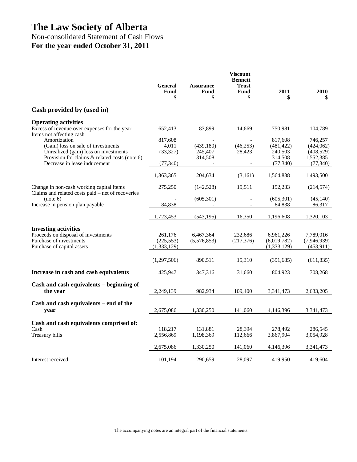Non-consolidated Statement of Cash Flows

**For the year ended October 31, 2011** 

|                                                                                                                                                                              | <b>General</b><br><b>Fund</b><br>\$        | <b>Assurance</b><br>Fund<br>\$   | <b>Viscount</b><br><b>Bennett</b><br><b>Trust</b><br><b>Fund</b><br>\$      | 2011<br>\$                                               | 2010<br>S                                                    |
|------------------------------------------------------------------------------------------------------------------------------------------------------------------------------|--------------------------------------------|----------------------------------|-----------------------------------------------------------------------------|----------------------------------------------------------|--------------------------------------------------------------|
| Cash provided by (used in)                                                                                                                                                   |                                            |                                  |                                                                             |                                                          |                                                              |
| <b>Operating activities</b><br>Excess of revenue over expenses for the year<br>Items not affecting cash                                                                      | 652,413                                    | 83,899                           | 14,669                                                                      | 750,981                                                  | 104,789                                                      |
| Amortization<br>(Gain) loss on sale of investments<br>Unrealized (gain) loss on investments<br>Provision for claims & related costs (note 6)<br>Decrease in lease inducement | 817,608<br>4,011<br>(33, 327)<br>(77, 340) | (439, 180)<br>245,407<br>314,508 | (46, 253)<br>28,423<br>$\overline{\phantom{a}}$<br>$\overline{\phantom{a}}$ | 817,608<br>(481, 422)<br>240,503<br>314,508<br>(77, 340) | 746,257<br>(424,062)<br>(408, 529)<br>1,552,385<br>(77, 340) |
|                                                                                                                                                                              | 1,363,365                                  | 204.634                          | (3.161)                                                                     | 1,564,838                                                | 1,493,500                                                    |
| Change in non-cash working capital items<br>Claims and related costs paid – net of recoveries                                                                                | 275,250                                    | (142, 528)                       | 19,511                                                                      | 152,233                                                  | (214, 574)                                                   |
| (note 6)<br>Increase in pension plan payable                                                                                                                                 | 84,838                                     | (605, 301)                       | $\overline{\phantom{a}}$                                                    | (605, 301)<br>84,838                                     | (45, 140)<br>86,317                                          |
|                                                                                                                                                                              | 1,723,453                                  | (543, 195)                       | 16,350                                                                      | 1,196,608                                                | 1,320,103                                                    |
| <b>Investing activities</b><br>Proceeds on disposal of investments<br>Purchase of investments<br>Purchase of capital assets                                                  | 261,176<br>(225, 553)<br>(1, 333, 129)     | 6,467,364<br>(5,576,853)         | 232,686<br>(217, 376)                                                       | 6,961,226<br>(6,019,782)<br>(1, 333, 129)                | 7,789,016<br>(7,946,939)<br>(453, 911)                       |
|                                                                                                                                                                              | (1,297,506)                                | 890,511                          | 15,310                                                                      | (391, 685)                                               | (611, 835)                                                   |
| Increase in cash and cash equivalents                                                                                                                                        | 425,947                                    | 347,316                          | 31,660                                                                      | 804,923                                                  | 708,268                                                      |
| Cash and cash equivalents – beginning of<br>the year                                                                                                                         | 2,249,139                                  | 982,934                          | 109,400                                                                     | 3,341,473                                                | 2,633,205                                                    |
| Cash and cash equivalents – end of the<br>year                                                                                                                               | 2,675,086                                  | 1,330,250                        | 141,060                                                                     | 4,146,396                                                | 3,341,473                                                    |
| Cash and cash equivalents comprised of:<br>Cash<br>Treasury bills                                                                                                            | 118,217<br>2,556,869                       | 131,881<br>1,198,369             | 28,394<br>112,666                                                           | 278,492<br>3,867,904                                     | 286,545<br>3,054,928                                         |
|                                                                                                                                                                              | 2,675,086                                  | 1,330,250                        | 141,060                                                                     | 4,146,396                                                | 3,341,473                                                    |
| Interest received                                                                                                                                                            | 101,194                                    | 290,659                          | 28,097                                                                      | 419,950                                                  | 419,604                                                      |

The accompanying notes are an integral part of the financial statements.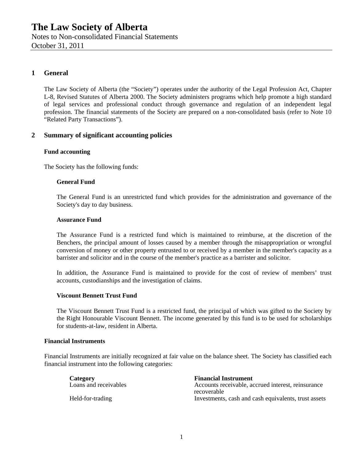## **1 General**

The Law Society of Alberta (the "Society") operates under the authority of the Legal Profession Act, Chapter L-8, Revised Statutes of Alberta 2000. The Society administers programs which help promote a high standard of legal services and professional conduct through governance and regulation of an independent legal profession. The financial statements of the Society are prepared on a non-consolidated basis (refer to Note 10 "Related Party Transactions").

## **2 Summary of significant accounting policies**

#### **Fund accounting**

The Society has the following funds:

#### **General Fund**

The General Fund is an unrestricted fund which provides for the administration and governance of the Society's day to day business.

#### **Assurance Fund**

The Assurance Fund is a restricted fund which is maintained to reimburse, at the discretion of the Benchers, the principal amount of losses caused by a member through the misappropriation or wrongful conversion of money or other property entrusted to or received by a member in the member's capacity as a barrister and solicitor and in the course of the member's practice as a barrister and solicitor.

In addition, the Assurance Fund is maintained to provide for the cost of review of members' trust accounts, custodianships and the investigation of claims.

#### **Viscount Bennett Trust Fund**

The Viscount Bennett Trust Fund is a restricted fund, the principal of which was gifted to the Society by the Right Honourable Viscount Bennett. The income generated by this fund is to be used for scholarships for students-at-law, resident in Alberta.

#### **Financial Instruments**

Financial Instruments are initially recognized at fair value on the balance sheet. The Society has classified each financial instrument into the following categories:

| Category              | <b>Financial Instrument</b>                          |
|-----------------------|------------------------------------------------------|
| Loans and receivables | Accounts receivable, accrued interest, reinsurance   |
|                       | recoverable                                          |
| Held-for-trading      | Investments, cash and cash equivalents, trust assets |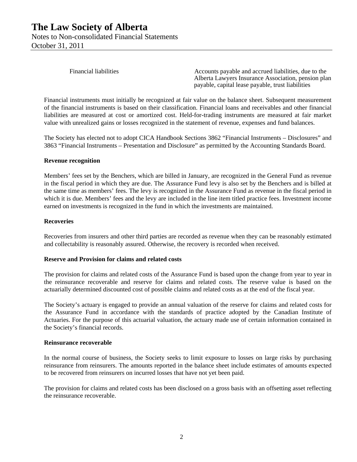Financial liabilities Accounts payable and accrued liabilities, due to the Alberta Lawyers Insurance Association, pension plan payable, capital lease payable, trust liabilities

Financial instruments must initially be recognized at fair value on the balance sheet. Subsequent measurement of the financial instruments is based on their classification. Financial loans and receivables and other financial liabilities are measured at cost or amortized cost. Held-for-trading instruments are measured at fair market value with unrealized gains or losses recognized in the statement of revenue, expenses and fund balances.

The Society has elected not to adopt CICA Handbook Sections 3862 "Financial Instruments – Disclosures" and 3863 "Financial Instruments – Presentation and Disclosure" as permitted by the Accounting Standards Board.

#### **Revenue recognition**

Members' fees set by the Benchers, which are billed in January, are recognized in the General Fund as revenue in the fiscal period in which they are due. The Assurance Fund levy is also set by the Benchers and is billed at the same time as members' fees. The levy is recognized in the Assurance Fund as revenue in the fiscal period in which it is due. Members' fees and the levy are included in the line item titled practice fees. Investment income earned on investments is recognized in the fund in which the investments are maintained.

#### **Recoveries**

Recoveries from insurers and other third parties are recorded as revenue when they can be reasonably estimated and collectability is reasonably assured. Otherwise, the recovery is recorded when received.

#### **Reserve and Provision for claims and related costs**

The provision for claims and related costs of the Assurance Fund is based upon the change from year to year in the reinsurance recoverable and reserve for claims and related costs. The reserve value is based on the actuarially determined discounted cost of possible claims and related costs as at the end of the fiscal year.

The Society's actuary is engaged to provide an annual valuation of the reserve for claims and related costs for the Assurance Fund in accordance with the standards of practice adopted by the Canadian Institute of Actuaries. For the purpose of this actuarial valuation, the actuary made use of certain information contained in the Society's financial records.

#### **Reinsurance recoverable**

In the normal course of business, the Society seeks to limit exposure to losses on large risks by purchasing reinsurance from reinsurers. The amounts reported in the balance sheet include estimates of amounts expected to be recovered from reinsurers on incurred losses that have not yet been paid.

The provision for claims and related costs has been disclosed on a gross basis with an offsetting asset reflecting the reinsurance recoverable.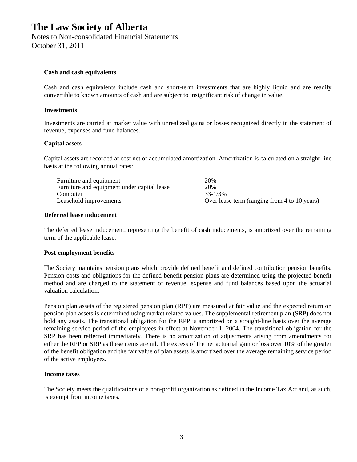Notes to Non-consolidated Financial Statements

October 31, 2011

## **Cash and cash equivalents**

Cash and cash equivalents include cash and short-term investments that are highly liquid and are readily convertible to known amounts of cash and are subject to insignificant risk of change in value.

### **Investments**

Investments are carried at market value with unrealized gains or losses recognized directly in the statement of revenue, expenses and fund balances.

#### **Capital assets**

Capital assets are recorded at cost net of accumulated amortization. Amortization is calculated on a straight-line basis at the following annual rates:

| Furniture and equipment                     | 20%                                          |
|---------------------------------------------|----------------------------------------------|
| Furniture and equipment under capital lease | 20%                                          |
| Computer                                    | 33-1/3%                                      |
| Leasehold improvements                      | Over lease term (ranging from 4 to 10 years) |

### **Deferred lease inducement**

The deferred lease inducement, representing the benefit of cash inducements, is amortized over the remaining term of the applicable lease.

#### **Post-employment benefits**

The Society maintains pension plans which provide defined benefit and defined contribution pension benefits. Pension costs and obligations for the defined benefit pension plans are determined using the projected benefit method and are charged to the statement of revenue, expense and fund balances based upon the actuarial valuation calculation.

Pension plan assets of the registered pension plan (RPP) are measured at fair value and the expected return on pension plan assets is determined using market related values. The supplemental retirement plan (SRP) does not hold any assets. The transitional obligation for the RPP is amortized on a straight-line basis over the average remaining service period of the employees in effect at November 1, 2004. The transitional obligation for the SRP has been reflected immediately. There is no amortization of adjustments arising from amendments for either the RPP or SRP as these items are nil. The excess of the net actuarial gain or loss over 10% of the greater of the benefit obligation and the fair value of plan assets is amortized over the average remaining service period of the active employees.

#### **Income taxes**

The Society meets the qualifications of a non-profit organization as defined in the Income Tax Act and, as such, is exempt from income taxes.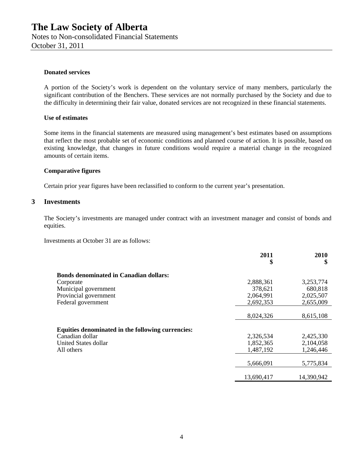#### **Donated services**

A portion of the Society's work is dependent on the voluntary service of many members, particularly the significant contribution of the Benchers. These services are not normally purchased by the Society and due to the difficulty in determining their fair value, donated services are not recognized in these financial statements.

#### **Use of estimates**

Some items in the financial statements are measured using management's best estimates based on assumptions that reflect the most probable set of economic conditions and planned course of action. It is possible, based on existing knowledge, that changes in future conditions would require a material change in the recognized amounts of certain items.

#### **Comparative figures**

Certain prior year figures have been reclassified to conform to the current year's presentation.

#### **3 Investments**

The Society's investments are managed under contract with an investment manager and consist of bonds and equities.

Investments at October 31 are as follows:

|                                                   | 2011<br>\$ | 2010<br>\$ |
|---------------------------------------------------|------------|------------|
| <b>Bonds denominated in Canadian dollars:</b>     |            |            |
| Corporate                                         | 2,888,361  | 3,253,774  |
| Municipal government                              | 378,621    | 680,818    |
| Provincial government                             | 2,064,991  | 2,025,507  |
| Federal government                                | 2,692,353  | 2,655,009  |
|                                                   | 8,024,326  | 8,615,108  |
| Equities denominated in the following currencies: |            |            |
| Canadian dollar                                   | 2,326,534  | 2,425,330  |
| United States dollar                              | 1,852,365  | 2,104,058  |
| All others                                        | 1,487,192  | 1,246,446  |
|                                                   | 5,666,091  | 5,775,834  |
|                                                   | 13,690,417 | 14,390,942 |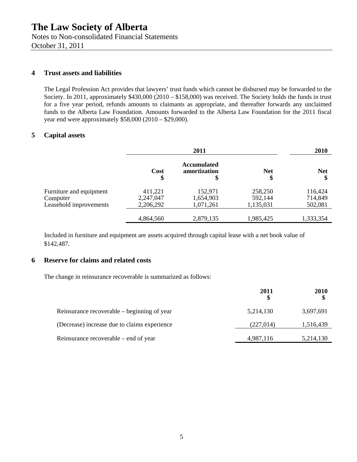## **4 Trust assets and liabilities**

The Legal Profession Act provides that lawyers' trust funds which cannot be disbursed may be forwarded to the Society. In 2011, approximately \$430,000 (2010 – \$158,000) was received. The Society holds the funds in trust for a five year period, refunds amounts to claimants as appropriate, and thereafter forwards any unclaimed funds to the Alberta Law Foundation. Amounts forwarded to the Alberta Law Foundation for the 2011 fiscal year end were approximately \$58,000 (2010 – \$29,000).

## **5 Capital assets**

|                         | 2011       |                                          |                  | 2010             |  |
|-------------------------|------------|------------------------------------------|------------------|------------------|--|
|                         | Cost<br>\$ | <b>Accumulated</b><br>amortization<br>\$ | <b>Net</b><br>\$ | <b>Net</b><br>\$ |  |
| Furniture and equipment | 411,221    | 152,971                                  | 258,250          | 116,424          |  |
| Computer                | 2,247,047  | 1,654,903                                | 592,144          | 714,849          |  |
| Leasehold improvements  | 2,206,292  | 1,071,261                                | 1,135,031        | 502,081          |  |
|                         | 4,864,560  | 2,879,135                                | 1,985,425        | 1,333,354        |  |

Included in furniture and equipment are assets acquired through capital lease with a net book value of \$142,487.

## **6 Reserve for claims and related costs**

The change in reinsurance recoverable is summarized as follows:

|                                              | 2011       | 2010      |
|----------------------------------------------|------------|-----------|
| Reinsurance recoverable – beginning of year  | 5,214,130  | 3,697,691 |
| (Decrease) increase due to claims experience | (227, 014) | 1,516,439 |
| Reinsurance recoverable – end of year        | 4,987,116  | 5,214,130 |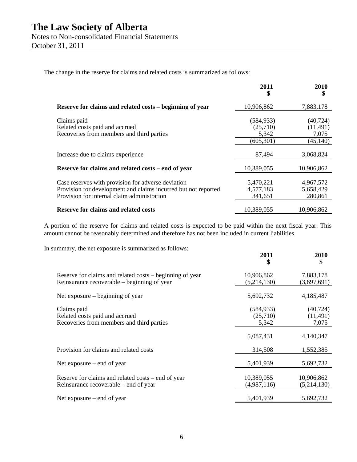Notes to Non-consolidated Financial Statements

October 31, 2011

The change in the reserve for claims and related costs is summarized as follows:

|                                                                                                                                                                     | 2011<br>\$                                    | 2010<br>\$                                   |
|---------------------------------------------------------------------------------------------------------------------------------------------------------------------|-----------------------------------------------|----------------------------------------------|
| Reserve for claims and related costs – beginning of year                                                                                                            | 10,906,862                                    | 7,883,178                                    |
| Claims paid<br>Related costs paid and accrued<br>Recoveries from members and third parties                                                                          | (584, 933)<br>(25,710)<br>5,342<br>(605, 301) | (40, 724)<br>(11, 491)<br>7,075<br>(45, 140) |
| Increase due to claims experience                                                                                                                                   | 87,494                                        | 3,068,824                                    |
| Reserve for claims and related costs – end of year                                                                                                                  | 10,389,055                                    | 10,906,862                                   |
| Case reserves with provision for adverse deviation<br>Provision for development and claims incurred but not reported<br>Provision for internal claim administration | 5,470,221<br>4,577,183<br>341,651             | 4,967,572<br>5,658,429<br>280,861            |
| <b>Reserve for claims and related costs</b>                                                                                                                         | 10,389,055                                    | 10,906,862                                   |

A portion of the reserve for claims and related costs is expected to be paid within the next fiscal year. This amount cannot be reasonably determined and therefore has not been included in current liabilities.

In summary, the net exposure is summarized as follows:

|                                                                                                         | 2011<br>\$                      | 2010<br>\$                      |
|---------------------------------------------------------------------------------------------------------|---------------------------------|---------------------------------|
| Reserve for claims and related costs – beginning of year<br>Reinsurance recoverable – beginning of year | 10,906,862<br>(5,214,130)       | 7,883,178<br>(3,697,691)        |
| Net exposure – beginning of year                                                                        | 5,692,732                       | 4,185,487                       |
| Claims paid<br>Related costs paid and accrued<br>Recoveries from members and third parties              | (584, 933)<br>(25,710)<br>5,342 | (40, 724)<br>(11, 491)<br>7,075 |
|                                                                                                         | 5,087,431                       | 4,140,347                       |
| Provision for claims and related costs                                                                  | 314,508                         | 1,552,385                       |
| Net exposure $-$ end of year                                                                            | 5,401,939                       | 5,692,732                       |
| Reserve for claims and related costs – end of year<br>Reinsurance recoverable – end of year             | 10,389,055<br>(4,987,116)       | 10,906,862<br>(5,214,130)       |
| Net exposure $-$ end of year                                                                            | 5,401,939                       | 5,692,732                       |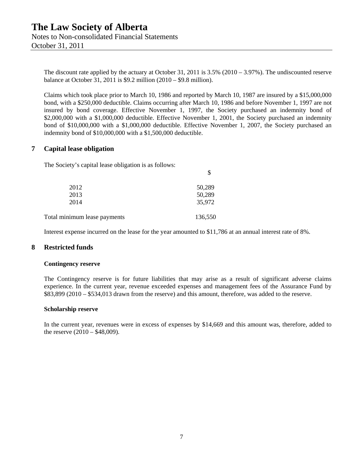The discount rate applied by the actuary at October 31, 2011 is 3.5% (2010 – 3.97%). The undiscounted reserve balance at October 31, 2011 is \$9.2 million (2010 – \$9.8 million).

Claims which took place prior to March 10, 1986 and reported by March 10, 1987 are insured by a \$15,000,000 bond, with a \$250,000 deductible. Claims occurring after March 10, 1986 and before November 1, 1997 are not insured by bond coverage. Effective November 1, 1997, the Society purchased an indemnity bond of \$2,000,000 with a \$1,000,000 deductible. Effective November 1, 2001, the Society purchased an indemnity bond of \$10,000,000 with a \$1,000,000 deductible. Effective November 1, 2007, the Society purchased an indemnity bond of \$10,000,000 with a \$1,500,000 deductible.

### **7 Capital lease obligation**

The Society's capital lease obligation is as follows:

|                              | \$      |
|------------------------------|---------|
| 2012                         | 50,289  |
| 2013                         | 50,289  |
| 2014                         | 35,972  |
| Total minimum lease payments | 136,550 |

Interest expense incurred on the lease for the year amounted to \$11,786 at an annual interest rate of 8%.

#### **8 Restricted funds**

#### **Contingency reserve**

The Contingency reserve is for future liabilities that may arise as a result of significant adverse claims experience. In the current year, revenue exceeded expenses and management fees of the Assurance Fund by \$83,899 (2010 – \$534,013 drawn from the reserve) and this amount, therefore, was added to the reserve.

#### **Scholarship reserve**

In the current year, revenues were in excess of expenses by \$14,669 and this amount was, therefore, added to the reserve (2010 – \$48,009).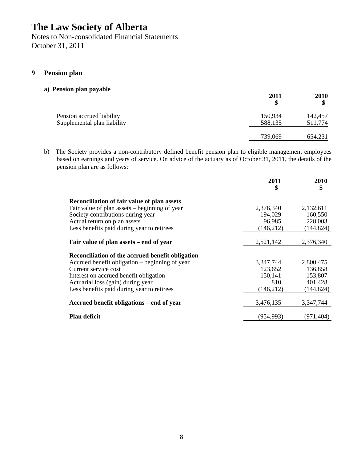## **9 Pension plan**

#### **a) Pension plan payable**

| 1 Cholon piùil puyusic                                   | 2011<br>\$         | <b>2010</b>        |
|----------------------------------------------------------|--------------------|--------------------|
| Pension accrued liability<br>Supplemental plan liability | 150,934<br>588,135 | 142,457<br>511,774 |
|                                                          | 739,069            | 654,231            |

b) The Society provides a non-contributory defined benefit pension plan to eligible management employees based on earnings and years of service. On advice of the actuary as of October 31, 2011, the details of the pension plan are as follows:

|                                                    | 2011<br>\$ | 2010<br>\$ |
|----------------------------------------------------|------------|------------|
| <b>Reconciliation of fair value of plan assets</b> |            |            |
| Fair value of plan assets – beginning of year      | 2,376,340  | 2,132,611  |
| Society contributions during year                  | 194,029    | 160,550    |
| Actual return on plan assets                       | 96,985     | 228,003    |
| Less benefits paid during year to retirees         | (146,212)  | (144, 824) |
| Fair value of plan assets – end of year            | 2,521,142  | 2,376,340  |
| Reconciliation of the accrued benefit obligation   |            |            |
| Accrued benefit obligation – beginning of year     | 3,347,744  | 2,800,475  |
| Current service cost                               | 123,652    | 136,858    |
| Interest on accrued benefit obligation             | 150,141    | 153,807    |
| Actuarial loss (gain) during year                  | 810        | 401,428    |
| Less benefits paid during year to retirees         | (146, 212) | (144, 824) |
| Accrued benefit obligations – end of year          | 3,476,135  | 3,347,744  |
| <b>Plan deficit</b>                                | (954, 993) | (971,404)  |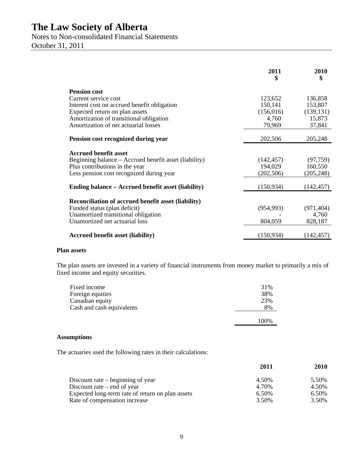## Notes to Non-consolidated Financial Statements

October 31, 2011

|                                                       | 2011<br>\$ | 2010<br>\$ |
|-------------------------------------------------------|------------|------------|
| <b>Pension cost</b>                                   |            |            |
| Current service cost                                  | 123,652    | 136,858    |
| Interest cost on accrued benefit obligation           | 150,141    | 153,807    |
| Expected return on plan assets                        | (156, 016) | (139, 131) |
| Amortization of transitional obligation               | 4,760      | 15,873     |
| Amortization of net actuarial losses                  | 79,969     | 37,841     |
| Pension cost recognized during year                   | 202,506    | 205,248    |
|                                                       |            |            |
| <b>Accrued benefit asset</b>                          |            |            |
| Beginning balance – Accrued benefit asset (liability) | (142, 457) | (97, 759)  |
| Plus contributions in the year                        | 194,029    | 160,550    |
| Less pension cost recognized during year              | (202, 506) | (205, 248) |
|                                                       |            |            |
| Ending balance - Accrued benefit asset (liability)    | (150, 934) | (142, 457) |
| Reconciliation of accrued benefit asset (liability)   |            |            |
| Funded status (plan deficit)                          | (954, 993) | (971, 404) |
| Unamortized transitional obligation                   |            | 4,760      |
| Unamortized net actuarial loss                        | 804,059    | 828,187    |
|                                                       |            |            |
| <b>Accrued benefit asset (liability)</b>              | (150, 934) | (142, 457) |

#### **Plan assets**

The plan assets are invested in a variety of financial instruments from money market to primarily a mix of fixed income and equity securities.

| 38%        |
|------------|
| 23%        |
| 8%<br>100% |
|            |

## **Assumptions**

The actuaries used the following rates in their calculations:

|                                                  | 2011  | 2010  |
|--------------------------------------------------|-------|-------|
| Discount rate $-$ beginning of year              | 4.50% | 5.50% |
| Discount rate $-$ end of year                    | 4.70% | 4.50% |
| Expected long-term rate of return on plan assets | 6.50% | 6.50% |
| Rate of compensation increase                    | 3.50% | 3.50% |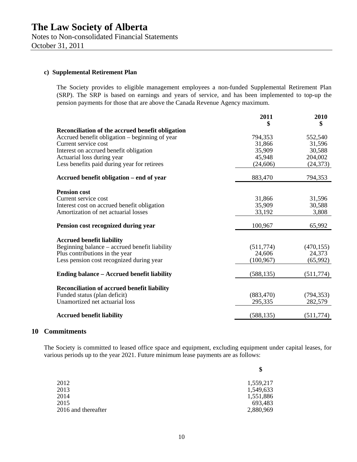Notes to Non-consolidated Financial Statements

October 31, 2011

#### **c) Supplemental Retirement Plan**

The Society provides to eligible management employees a non-funded Supplemental Retirement Plan (SRP). The SRP is based on earnings and years of service, and has been implemented to top-up the pension payments for those that are above the Canada Revenue Agency maximum.

| 2011       | 2010                                                                                         |
|------------|----------------------------------------------------------------------------------------------|
|            | \$                                                                                           |
|            |                                                                                              |
| 794,353    | 552,540                                                                                      |
| 31,866     | 31,596                                                                                       |
| 35,909     | 30,588                                                                                       |
| 45,948     | 204,002                                                                                      |
| (24, 606)  | (24, 373)                                                                                    |
| 883,470    | 794,353                                                                                      |
|            |                                                                                              |
|            | 31,596                                                                                       |
|            | 30,588                                                                                       |
|            | 3,808                                                                                        |
|            |                                                                                              |
| 100,967    | 65,992                                                                                       |
|            |                                                                                              |
|            | (470, 155)                                                                                   |
|            | 24,373                                                                                       |
| (100, 967) | (65,992)                                                                                     |
|            | (511, 774)                                                                                   |
|            |                                                                                              |
|            |                                                                                              |
|            | (794, 353)                                                                                   |
| 295,335    | 282,579                                                                                      |
|            | (511, 774)                                                                                   |
|            | 31,866<br>35,909<br>33,192<br>(511, 774)<br>24,606<br>(588, 135)<br>(883, 470)<br>(588, 135) |

## **10 Commitments**

The Society is committed to leased office space and equipment, excluding equipment under capital leases, for various periods up to the year 2021. Future minimum lease payments are as follows:

|                     | \$        |
|---------------------|-----------|
| 2012                | 1,559,217 |
| 2013                | 1,549,633 |
| 2014                | 1,551,886 |
| 2015                | 693,483   |
| 2016 and thereafter | 2,880,969 |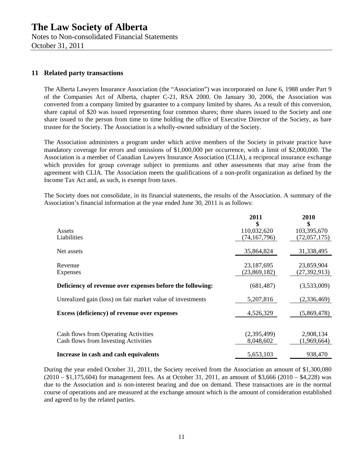## **11 Related party transactions**

The Alberta Lawyers Insurance Association (the "Association") was incorporated on June 6, 1988 under Part 9 of the Companies Act of Alberta, chapter C-21, RSA 2000. On January 30, 2006, the Association was converted from a company limited by guarantee to a company limited by shares. As a result of this conversion, share capital of \$20 was issued representing four common shares; three shares issued to the Society and one share issued to the person from time to time holding the office of Executive Director of the Society, as bare trustee for the Society. The Association is a wholly-owned subsidiary of the Society.

The Association administers a program under which active members of the Society in private practice have mandatory coverage for errors and omissions of \$1,000,000 per occurrence, with a limit of \$2,000,000. The Association is a member of Canadian Lawyers Insurance Association (CLIA), a reciprocal insurance exchange which provides for group coverage subject to premiums and other assessments that may arise from the agreement with CLIA. The Association meets the qualifications of a non-profit organization as defined by the Income Tax Act and, as such, is exempt from taxes.

The Society does not consolidate, in its financial statements, the results of the Association. A summary of the Association's financial information at the year ended June 30, 2011 is as follows:

|                                                            | 2011<br>\$     | 2010<br>\$     |
|------------------------------------------------------------|----------------|----------------|
| Assets                                                     | 110,032,620    | 103,395,670    |
| Liabilities                                                | (74, 167, 796) | (72,057,175)   |
| Net assets                                                 | 35,864,824     | 31,338,495     |
| Revenue                                                    | 23,187,695     | 23,859,904     |
| Expenses                                                   | (23,869,182)   | (27, 392, 913) |
| Deficiency of revenue over expenses before the following:  | (681, 487)     | (3,533,009)    |
| Unrealized gain (loss) on fair market value of investments | 5,207,816      | (2,336,469)    |
| <b>Excess (deficiency) of revenue over expenses</b>        | 4,526,329      | (5,869,478)    |
| Cash flows from Operating Activities                       | (2,395,499)    | 2,908,134      |
| Cash flows from Investing Activities                       | 8,048,602      | (1,969,664)    |
| Increase in cash and cash equivalents                      | 5,653,103      | 938,470        |

During the year ended October 31, 2011, the Society received from the Association an amount of \$1,300,080  $(2010 - $1,175,604)$  for management fees. As at October 31, 2011, an amount of \$3,666 (2010 – \$4,228) was due to the Association and is non-interest bearing and due on demand. These transactions are in the normal course of operations and are measured at the exchange amount which is the amount of consideration established and agreed to by the related parties.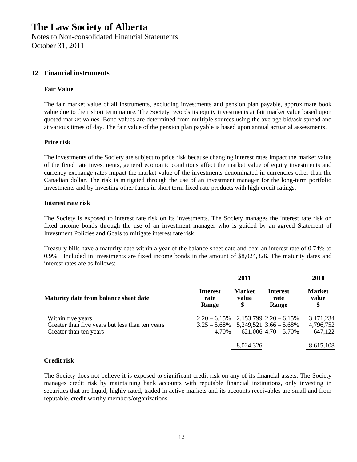## **12 Financial instruments**

#### **Fair Value**

The fair market value of all instruments, excluding investments and pension plan payable, approximate book value due to their short term nature. The Society records its equity investments at fair market value based upon quoted market values. Bond values are determined from multiple sources using the average bid/ask spread and at various times of day. The fair value of the pension plan payable is based upon annual actuarial assessments.

#### **Price risk**

The investments of the Society are subject to price risk because changing interest rates impact the market value of the fixed rate investments, general economic conditions affect the market value of equity investments and currency exchange rates impact the market value of the investments denominated in currencies other than the Canadian dollar. The risk is mitigated through the use of an investment manager for the long-term portfolio investments and by investing other funds in short term fixed rate products with high credit ratings.

#### **Interest rate risk**

The Society is exposed to interest rate risk on its investments. The Society manages the interest rate risk on fixed income bonds through the use of an investment manager who is guided by an agreed Statement of Investment Policies and Goals to mitigate interest rate risk.

Treasury bills have a maturity date within a year of the balance sheet date and bear an interest rate of 0.74% to 0.9%. Included in investments are fixed income bonds in the amount of \$8,024,326. The maturity dates and interest rates are as follows:

|                                                                                                | 2011                             |                              |                                                                                                                 | 2010                              |
|------------------------------------------------------------------------------------------------|----------------------------------|------------------------------|-----------------------------------------------------------------------------------------------------------------|-----------------------------------|
| Maturity date from balance sheet date                                                          | <b>Interest</b><br>rate<br>Range | <b>Market</b><br>value<br>\$ | <b>Interest</b><br>rate<br>Range                                                                                | <b>Market</b><br>value<br>\$      |
| Within five years<br>Greater than five years but less than ten years<br>Greater than ten years | 4.70%                            |                              | $2.20 - 6.15\%$ 2,153,799 2.20 - 6.15%<br>$3.25 - 5.68\%$ $5,249,521$ $3.66 - 5.68\%$<br>$621,006$ 4.70 - 5.70% | 3,171,234<br>4,796,752<br>647,122 |
|                                                                                                |                                  | 8,024,326                    |                                                                                                                 | 8,615,108                         |

#### **Credit risk**

The Society does not believe it is exposed to significant credit risk on any of its financial assets. The Society manages credit risk by maintaining bank accounts with reputable financial institutions, only investing in securities that are liquid, highly rated, traded in active markets and its accounts receivables are small and from reputable, credit-worthy members/organizations.